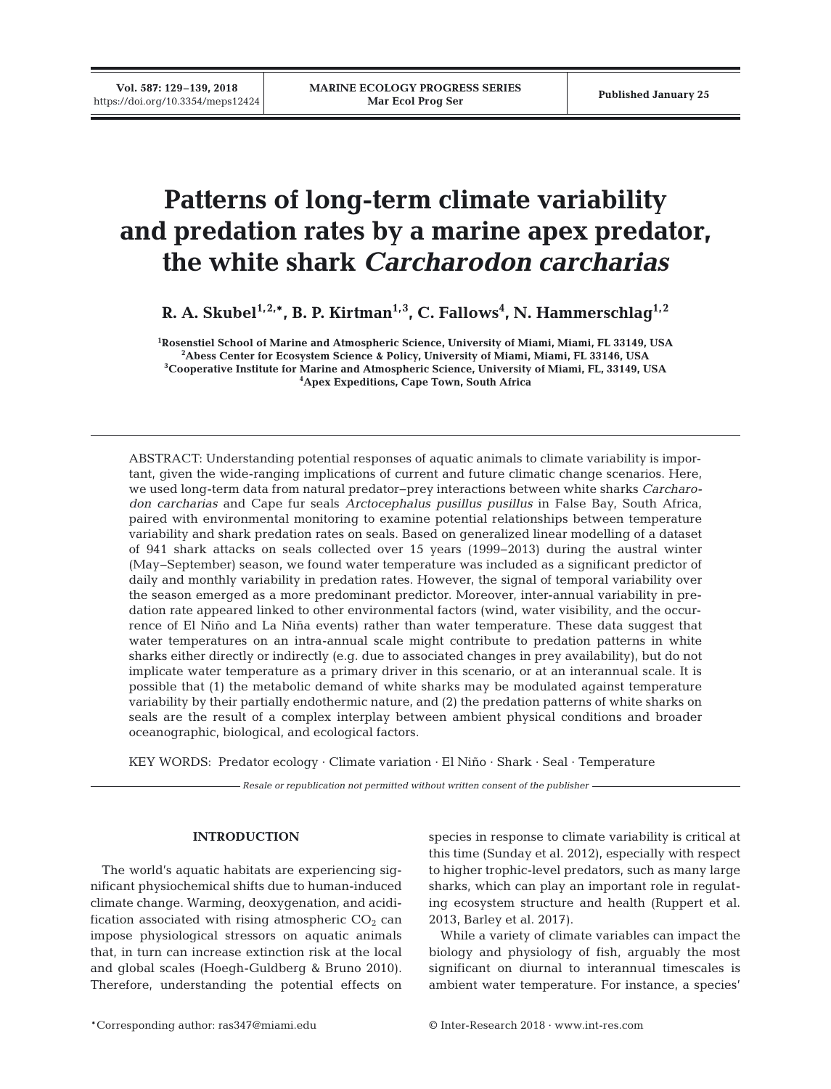# **Patterns of long-term climate variability and predation rates by a marine apex predator, the white shark** *Carcharodon carcharias*

R. A. Skubel<sup>1,2,</sup>\*, B. P. Kirtman<sup>1,3</sup>, C. Fallows<sup>4</sup>, N. Hammerschlag<sup>1,2</sup>

 **Rosenstiel School of Marine and Atmospheric Science, University of Miami, Miami, FL 33149, USA Abess Center for Ecosystem Science & Policy, University of Miami, Miami, FL 33146, USA Cooperative Institute for Marine and Atmospheric Science, University of Miami, FL, 33149, USA Apex Expeditions, Cape Town, South Africa**

ABSTRACT: Understanding potential responses of aquatic animals to climate variability is important, given the wide-ranging implications of current and future climatic change scenarios. Here, we used long-term data from natural predator−prey interactions between white sharks *Carcharodon carcharias* and Cape fur seals *Arctocephalus pusillus pusillus* in False Bay, South Africa, paired with environmental monitoring to examine potential relationships between temperature variability and shark predation rates on seals. Based on generalized linear modelling of a dataset of 941 shark attacks on seals collected over 15 years (1999−2013) during the austral winter (May−September) season, we found water temperature was included as a significant predictor of daily and monthly variability in predation rates. However, the signal of temporal variability over the season emerged as a more predominant predictor. Moreover, inter-annual variability in predation rate appeared linked to other environmental factors (wind, water visibility, and the occurrence of El Niño and La Niña events) rather than water temperature. These data suggest that water temperatures on an intra-annual scale might contribute to predation patterns in white sharks either directly or indirectly (e.g. due to associated changes in prey availability), but do not implicate water temperature as a primary driver in this scenario, or at an interannual scale. It is possible that (1) the metabolic demand of white sharks may be modulated against temperature variability by their partially endothermic nature, and (2) the predation patterns of white sharks on seals are the result of a complex interplay between ambient physical conditions and broader oceanographic, biological, and ecological factors.

KEY WORDS: Predator ecology · Climate variation · El Niño · Shark · Seal · Temperature

*Resale or republication not permitted without written consent of the publisher*

# **INTRODUCTION**

The world's aquatic habitats are experiencing significant physiochemical shifts due to human-induced climate change. Warming, deoxygenation, and acidification associated with rising atmospheric  $CO<sub>2</sub>$  can impose physiological stressors on aquatic animals that, in turn can increase extinction risk at the local and global scales (Hoegh-Guldberg & Bruno 2010). Therefore, understanding the potential effects on species in response to climate variability is critical at this time (Sunday et al. 2012), especially with respect to higher trophic-level predators, such as many large sharks, which can play an important role in regulating ecosystem structure and health (Ruppert et al. 2013, Barley et al. 2017).

While a variety of climate variables can impact the biology and physiology of fish, arguably the most significant on diurnal to interannual timescales is ambient water temperature. For instance, a species'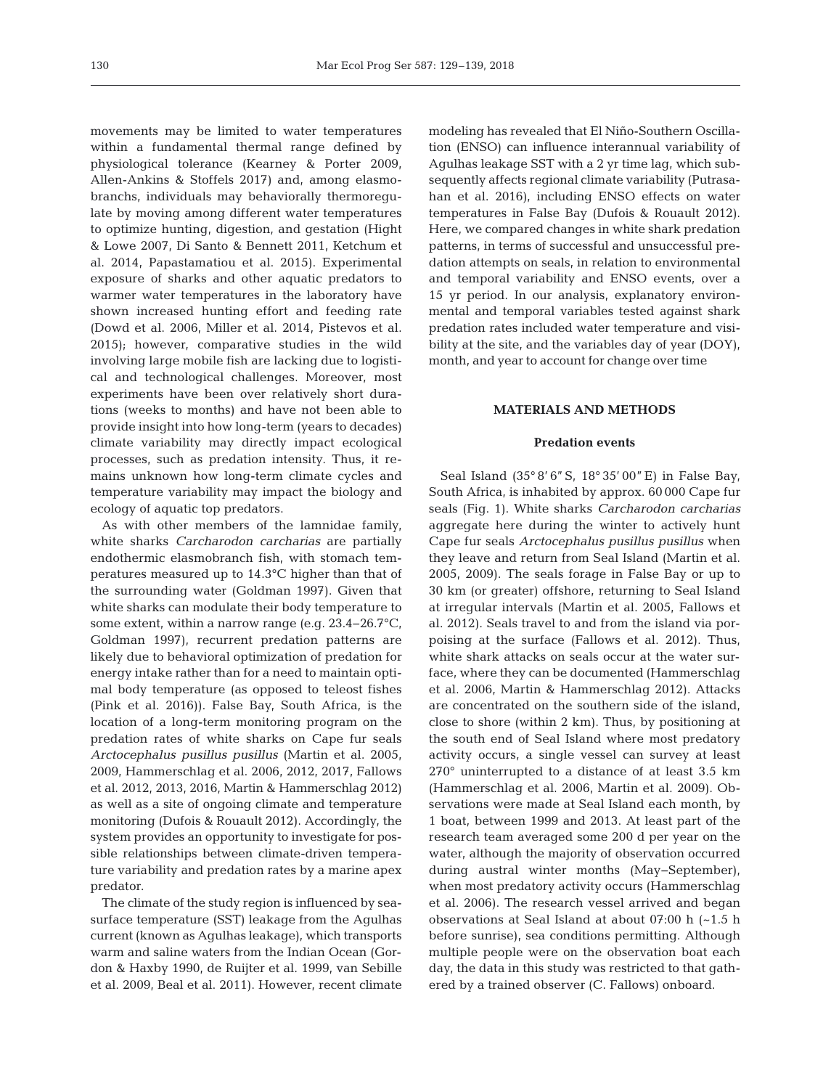movements may be limited to water temperatures within a fundamental thermal range defined by physiological tolerance (Kearney & Porter 2009, Allen-Ankins & Stoffels 2017) and, among elasmobranchs, individuals may behaviorally thermoregulate by moving among different water temperatures to optimize hunting, digestion, and gestation (Hight & Lowe 2007, Di Santo & Bennett 2011, Ketchum et al. 2014, Papastamatiou et al. 2015). Experimental exposure of sharks and other aquatic predators to warmer water temperatures in the laboratory have shown increased hunting effort and feeding rate (Dowd et al. 2006, Miller et al. 2014, Pistevos et al. 2015); however, comparative studies in the wild involving large mobile fish are lacking due to logistical and technological challenges. Moreover, most experiments have been over relatively short durations (weeks to months) and have not been able to provide insight into how long-term (years to decades) climate variability may directly impact ecological processes, such as predation intensity. Thus, it re mains unknown how long-term climate cycles and temperature variability may impact the biology and ecology of aquatic top predators.

As with other members of the lamnidae family, white sharks *Carcharodon carcharias* are partially endothermic elasmobranch fish, with stomach temperatures measured up to 14.3°C higher than that of the surrounding water (Goldman 1997). Given that white sharks can modulate their body temperature to some extent, within a narrow range (e.g. 23.4–26.7°C, Goldman 1997), recurrent predation patterns are likely due to behavioral optimization of predation for energy intake rather than for a need to maintain optimal body temperature (as opposed to teleost fishes (Pink et al. 2016)). False Bay, South Africa, is the location of a long-term monitoring program on the predation rates of white sharks on Cape fur seals *Arctocephalus pusillus pusillus* (Martin et al. 2005, 2009, Hammerschlag et al. 2006, 2012, 2017, Fallows et al. 2012, 2013, 2016, Martin & Hammerschlag 2012) as well as a site of ongoing climate and temperature monitoring (Dufois & Rouault 2012). Accordingly, the system provides an opportunity to investigate for possible relationships between climate-driven temperature variability and predation rates by a marine apex predator.

The climate of the study region is influenced by seasurface temperature (SST) leakage from the Agulhas current (known as Agulhas leakage), which transports warm and saline waters from the Indian Ocean (Gordon & Haxby 1990, de Ruijter et al. 1999, van Sebille et al. 2009, Beal et al. 2011). However, recent climate modeling has revealed that El Niño-Southern Oscillation (ENSO) can influence interannual variability of Agulhas leakage SST with a 2 yr time lag, which subsequently affects regional climate variability (Putrasahan et al. 2016), including ENSO effects on water temperatures in False Bay (Dufois & Rouault 2012). Here, we compared changes in white shark predation patterns, in terms of successful and unsuccessful predation attempts on seals, in relation to environmental and temporal variability and ENSO events, over a 15 yr period. In our analysis, explanatory environmental and temporal variables tested against shark predation rates included water temperature and visibility at the site, and the variables day of year (DOY), month, and year to account for change over time

# **MATERIALS AND METHODS**

# **Predation events**

Seal Island (35° 8' 6"S, 18° 35' 00"E) in False Bay, South Africa, is inhabited by approx. 60 000 Cape fur seals (Fig. 1). White sharks *Carcharodon carcharias* aggregate here during the winter to actively hunt Cape fur seals *Arctocephalus pusillus pusillus* when they leave and return from Seal Island (Martin et al. 2005, 2009). The seals forage in False Bay or up to 30 km (or greater) offshore, returning to Seal Island at irregular intervals (Martin et al. 2005, Fallows et al. 2012). Seals travel to and from the island via porpoising at the surface (Fallows et al. 2012). Thus, white shark attacks on seals occur at the water surface, where they can be documented (Hammerschlag et al. 2006, Martin & Hammerschlag 2012). Attacks are concentrated on the southern side of the island, close to shore (within 2 km). Thus, by positioning at the south end of Seal Island where most predatory activity occurs, a single vessel can survey at least 270° uninterrupted to a distance of at least 3.5 km (Hammerschlag et al. 2006, Martin et al. 2009). Ob servations were made at Seal Island each month, by 1 boat, between 1999 and 2013. At least part of the research team averaged some 200 d per year on the water, although the majority of observation occurred during austral winter months (May− September), when most predatory activity occurs (Hammerschlag et al. 2006). The research vessel arrived and began observations at Seal Island at about 07:00 h (~1.5 h before sunrise), sea conditions permitting. Although multiple people were on the observation boat each day, the data in this study was restricted to that gathered by a trained observer (C. Fallows) onboard.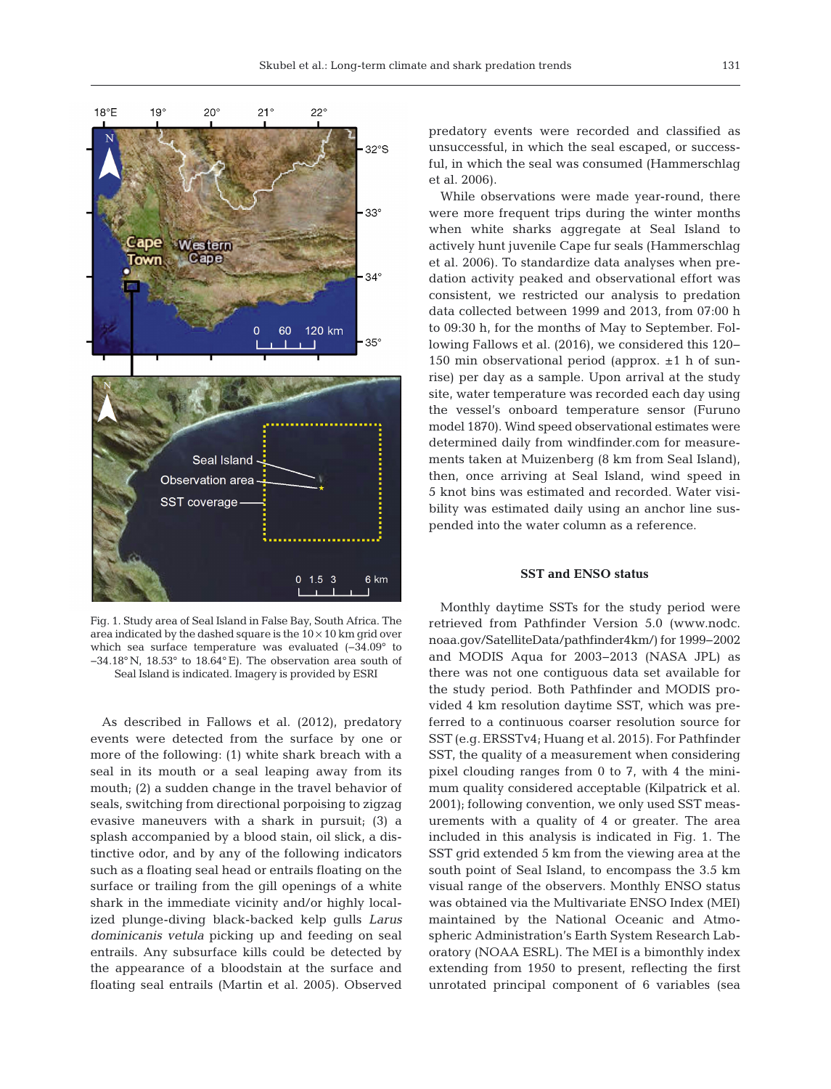

Fig. 1. Study area of Seal Island in False Bay, South Africa. The area indicated by the dashed square is the  $10 \times 10$  km grid over which sea surface temperature was evaluated (−34.09° to −34.18° N, 18.53° to 18.64° E). The observation area south of Seal Island is indicated. Imagery is provided by ESRI

As described in Fallows et al. (2012), predatory events were detected from the surface by one or more of the following: (1) white shark breach with a seal in its mouth or a seal leaping away from its mouth; (2) a sudden change in the travel behavior of seals, switching from directional porpoising to zigzag evasive maneuvers with a shark in pursuit; (3) a splash accompanied by a blood stain, oil slick, a distinctive odor, and by any of the following indicators such as a floating seal head or entrails floating on the surface or trailing from the gill openings of a white shark in the immediate vicinity and/or highly localized plunge-diving black-backed kelp gulls *Larus dominicanis vetula* picking up and feeding on seal entrails. Any subsurface kills could be detected by the appearance of a bloodstain at the surface and floating seal entrails (Martin et al. 2005). Observed

predatory events were recorded and classified as unsuccessful, in which the seal escaped, or successful, in which the seal was consumed (Hammerschlag et al. 2006).

While observations were made year-round, there were more frequent trips during the winter months when white sharks aggregate at Seal Island to actively hunt juvenile Cape fur seals (Hammerschlag et al. 2006). To standardize data analyses when predation activity peaked and observational effort was consistent, we restricted our analysis to predation data collected between 1999 and 2013, from 07:00 h to 09:30 h, for the months of May to September. Following Fallows et al. (2016), we considered this 120− 150 min observational period (approx.  $\pm 1$  h of sunrise) per day as a sample. Upon arrival at the study site, water temperature was recorded each day using the vessel's onboard temperature sensor (Furuno model 1870). Wind speed observational estimates were determined daily from windfinder.com for measurements taken at Muizenberg (8 km from Seal Island), then, once arriving at Seal Island, wind speed in 5 knot bins was estimated and recorded. Water visibility was estimated daily using an anchor line suspended into the water column as a reference.

# **SST and ENSO status**

Monthly daytime SSTs for the study period were retrieved from Pathfinder Version 5.0 (www.nodc. noaa. gov/SatelliteData/pathfinder4km/) for 1999− 2002 and MODIS Aqua for 2003−2013 (NASA JPL) as there was not one contiguous data set available for the study period. Both Pathfinder and MODIS provided 4 km resolution daytime SST, which was preferred to a continuous coarser resolution source for SST (e.g. ERSSTv4; Huang et al. 2015). For Pathfinder SST, the quality of a measurement when considering pixel clouding ranges from 0 to 7, with 4 the minimum quality considered acceptable (Kilpatrick et al. 2001); following convention, we only used SST measurements with a quality of 4 or greater. The area included in this analysis is indicated in Fig. 1. The SST grid extended 5 km from the viewing area at the south point of Seal Island, to encompass the 3.5 km visual range of the observers. Monthly ENSO status was obtained via the Multivariate ENSO Index (MEI) maintained by the National Oceanic and Atmospheric Administration's Earth System Research Laboratory (NOAA ESRL). The MEI is a bimonthly index extending from 1950 to present, reflecting the first unrotated principal component of 6 variables (sea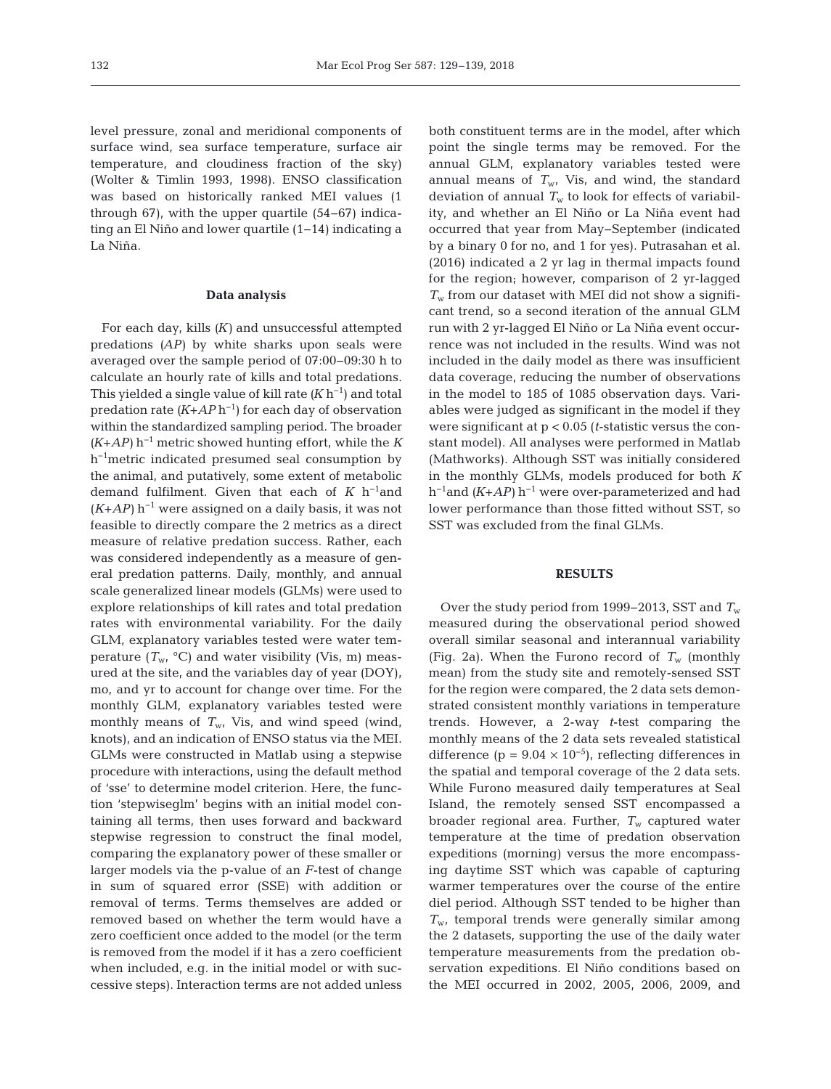level pressure, zonal and meridional components of surface wind, sea surface temperature, surface air temperature, and cloudiness fraction of the sky) (Wolter & Timlin 1993, 1998). ENSO classification was based on historically ranked MEI values (1 through 67), with the upper quartile (54−67) indicating an El Niño and lower quartile (1−14) indicating a La Niña.

# **Data analysis**

For each day, kills *(K)* and unsuccessful attempted predations *(AP)* by white sharks upon seals were averaged over the sample period of 07:00−09:30 h to calculate an hourly rate of kills and total predations. This yielded a single value of kill rate *(K* h−1) and total predation rate *(K*+*AP* h−1) for each day of observation within the standardized sampling period. The broader *(K*+*AP)* h−1 metric showed hunting effort, while the *K* h−1metric indicated presumed seal consumption by the animal, and putatively, some extent of metabolic demand fulfilment. Given that each of *K* h−1and (*K*+*AP)* h−1 were assigned on a daily basis, it was not feasible to directly compare the 2 metrics as a direct measure of relative predation success. Rather, each was considered independently as a measure of general predation patterns. Daily, monthly, and annual scale generalized linear models (GLMs) were used to explore relationships of kill rates and total predation rates with environmental variability. For the daily GLM, explanatory variables tested were water temperature  $(T_{w}$  °C) and water visibility (Vis, m) measured at the site, and the variables day of year (DOY), mo, and yr to account for change over time. For the monthly GLM, explanatory variables tested were monthly means of  $T_{\text{w}}$ , Vis, and wind speed (wind, knots), and an indication of ENSO status via the MEI. GLMs were constructed in Matlab using a stepwise procedure with interactions, using the default method of 'sse' to determine model criterion. Here, the function 'stepwiseglm' begins with an initial model containing all terms, then uses forward and backward stepwise regression to construct the final model, comparing the explanatory power of these smaller or larger models via the p-value of an *F*-test of change in sum of squared error (SSE) with addition or removal of terms. Terms themselves are added or removed based on whether the term would have a zero coefficient once added to the model (or the term is removed from the model if it has a zero coefficient when included, e.g. in the initial model or with successive steps). Interaction terms are not added unless

both constituent terms are in the model, after which point the single terms may be removed. For the annual GLM, explanatory variables tested were annual means of  $T_{w}$ , Vis, and wind, the standard deviation of annual  $T_w$  to look for effects of variability, and whether an El Niño or La Niña event had occurred that year from May−September (indicated by a binary 0 for no, and 1 for yes). Putrasahan et al. (2016) indicated a 2 yr lag in thermal impacts found for the region; however, comparison of 2 yr-lagged  $T_w$  from our dataset with MEI did not show a significant trend, so a second iteration of the annual GLM run with 2 yr-lagged El Niño or La Niña event occurrence was not included in the results. Wind was not included in the daily model as there was insufficient data coverage, reducing the number of observations in the model to 185 of 1085 observation days. Variables were judged as significant in the model if they were significant at p < 0.05 (*t*-statistic versus the constant model). All analyses were performed in Matlab (Mathworks). Although SST was initially considered in the monthly GLMs, models produced for both *K* h−1and *(K*+*AP)* h−1 were over-parameterized and had lower performance than those fitted without SST, so SST was excluded from the final GLMs.

# **RESULTS**

Over the study period from 1999−2013, SST and *T*<sup>w</sup> measured during the observational period showed overall similar seasonal and interannual variability (Fig. 2a). When the Furono record of  $T_w$  (monthly mean) from the study site and remotely-sensed SST for the region were compared, the 2 data sets demonstrated consistent monthly variations in temperature trends. However, a 2-way *t*-test comparing the monthly means of the 2 data sets revealed statistical difference (p =  $9.04 \times 10^{-5}$ ), reflecting differences in the spatial and temporal coverage of the 2 data sets. While Furono measured daily temperatures at Seal Island, the remotely sensed SST encompassed a broader regional area. Further, T<sub>w</sub> captured water temperature at the time of predation observation expeditions (morning) versus the more encompassing daytime SST which was capable of capturing warmer temperatures over the course of the entire diel period. Although SST tended to be higher than *T*w, temporal trends were generally similar among the 2 datasets, supporting the use of the daily water temperature measurements from the predation ob servation expeditions. El Niño conditions based on the MEI occurred in 2002, 2005, 2006, 2009, and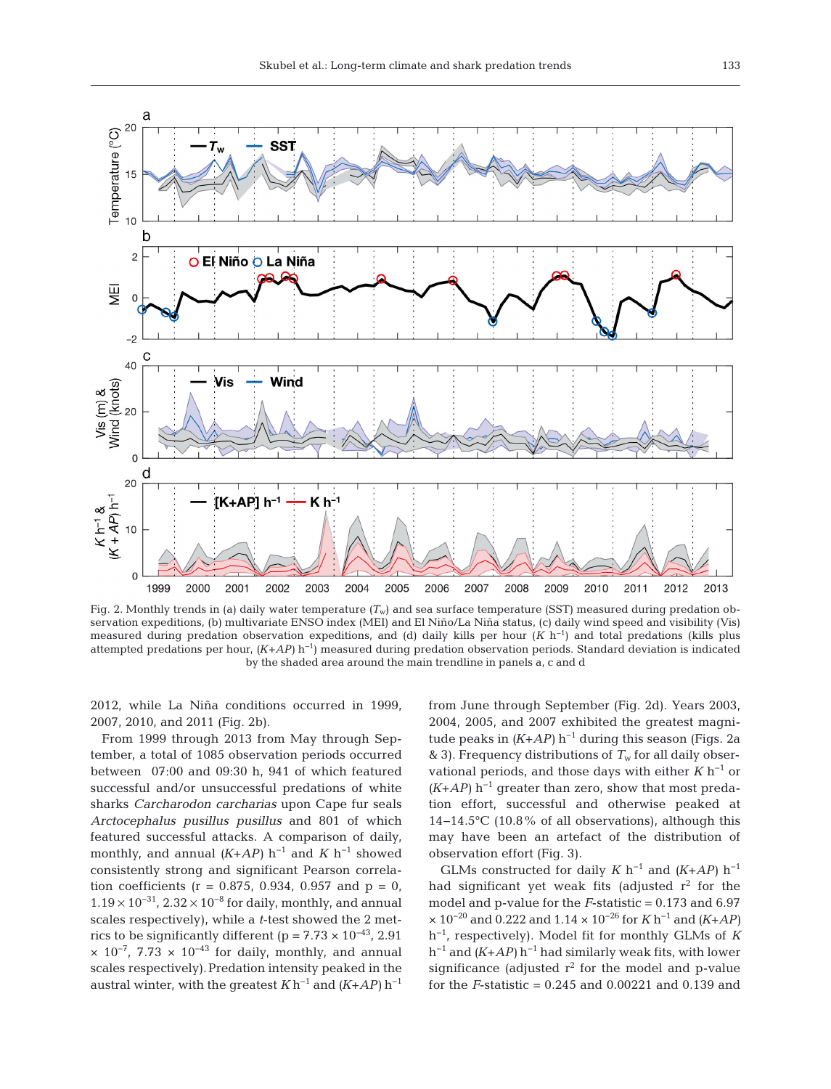

Fig. 2. Monthly trends in (a) daily water temperature  $(T_w)$  and sea surface temperature (SST) measured during predation observation expeditions, (b) multivariate ENSO index (MEI) and El Niño/La Niña status, (c) daily wind speed and visibility (Vis) measured during predation observation expeditions, and (d) daily kills per hour (*K* h−1) and total predations (kills plus attempted predations per hour, *(K*+*AP)* h−1) measured during predation observation periods. Standard deviation is indicated by the shaded area around the main trendline in panels a, c and d

2012, while La Niña conditions occurred in 1999, 2007, 2010, and 2011 (Fig. 2b).

From 1999 through 2013 from May through September, a total of 1085 observation periods occurred between 07:00 and 09:30 h, 941 of which featured successful and/or unsuccessful predations of white sharks *Carcharodon carcharias* upon Cape fur seals *Arctocephalus pusillus pusillus* and 801 of which featured successful attacks. A comparison of daily, monthly, and annual  $(K+AP)$  h<sup>-1</sup> and  $K$  h<sup>-1</sup> showed consistently strong and significant Pearson correlation coefficients ( $r = 0.875, 0.934, 0.957$  and  $p = 0$ ,  $1.19 \times 10^{-31}$ ,  $2.32 \times 10^{-8}$  for daily, monthly, and annual scales respectively), while a *t*-test showed the 2 metrics to be significantly different (p =  $7.73 \times 10^{-43}$ , 2.91  $\times$  10<sup>-7</sup>, 7.73  $\times$  10<sup>-43</sup> for daily, monthly, and annual scales respectively).Predation intensity peaked in the austral winter, with the greatest  $K h^{-1}$  and  $(K+AP) h^{-1}$  from June through September (Fig. 2d). Years 2003, 2004, 2005, and 2007 exhibited the greatest magnitude peaks in *(K*+*AP)* h−1 during this season (Figs. 2a & 3). Frequency distributions of  $T_w$  for all daily observational periods, and those days with either *K* h−1 or *(K*+*AP)* h−1 greater than zero, show that most predation effort, successful and otherwise peaked at 14−14.5°C (10.8% of all observations), although this may have been an artefact of the distribution of observation effort (Fig. 3).

GLMs constructed for daily  $K$  h<sup>-1</sup> and  $(K+AP)$  h<sup>-1</sup> had significant yet weak fits (adjusted  $r^2$  for the model and p-value for the *F*-statistic = 0.173 and 6.97 × 10−20 and 0.222 and 1.14 × 10−26 for *K* h−1 and *(K*+*AP)* h−1, respectively). Model fit for monthly GLMs of *K* h−1 and *(K*+*AP)* h−1 had similarly weak fits, with lower significance (adjusted  $r^2$  for the model and p-value for the *F*-statistic = 0.245 and 0.00221 and 0.139 and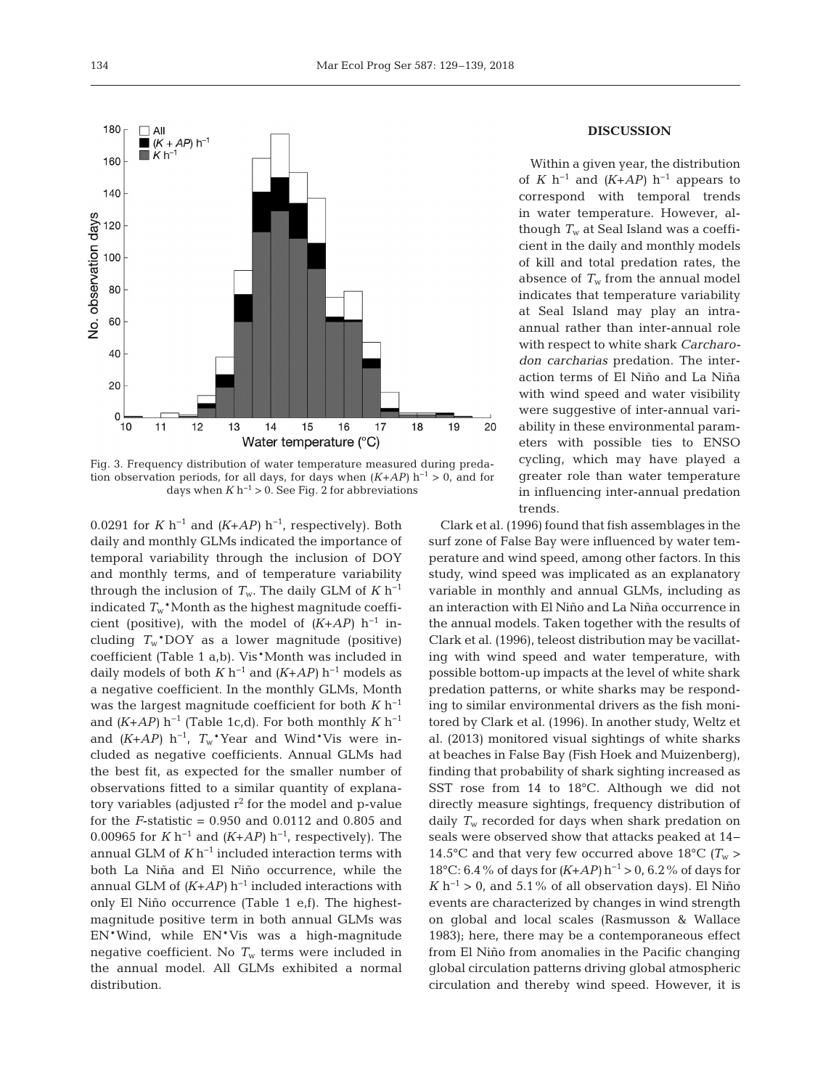

Fig. 3. Frequency distribution of water temperature measured during predation observation periods, for all days, for days when *(K*+*AP)* h−1 > 0, and for days when  $K h^{-1} > 0$ . See Fig. 2 for abbreviations

0.0291 for *K* h−1 and *(K*+*AP)* h−1, respectively). Both daily and monthly GLMs indicated the importance of temporal variability through the inclusion of DOY and monthly terms, and of temperature variability through the inclusion of  $T_w$ . The daily GLM of  $K$  h<sup>-1</sup> indicated  $T_w^*$ Month as the highest magnitude coefficient (positive), with the model of  $(K+AP)$  h<sup>-1</sup> including  $T_w$ <sup>\*</sup>DOY as a lower magnitude (positive) coefficient (Table 1 a,b). Vis\*Month was included in daily models of both  $K$  h<sup>-1</sup> and  $(K+AP)$  h<sup>-1</sup> models as a negative coefficient. In the monthly GLMs, Month was the largest magnitude coefficient for both *K* h−1 and  $(K+AP)$  h<sup>-1</sup> (Table 1c,d). For both monthly  $K$  h<sup>-1</sup> and  $(K+AP)$  h<sup>-1</sup>,  $T_w$ <sup>\*</sup>Year and Wind<sup>\*</sup>Vis were included as negative coefficients. Annual GLMs had the best fit, as expected for the smaller number of observations fitted to a similar quantity of explanatory variables (adjusted  $r^2$  for the model and p-value for the *F*-statistic = 0.950 and 0.0112 and 0.805 and 0.00965 for *K* h−1 and *(K*+*AP)* h−1, respectively). The annual GLM of  $K h^{-1}$  included interaction terms with both La Niña and El Niño occurrence, while the annual GLM of *(K*+*AP)* h−1 included interactions with only El Niño occurrence (Table 1 e,f). The highestmagnitude positive term in both annual GLMs was EN\*Wind, while EN\*Vis was a high-magnitude negative coefficient. No  $T_w$  terms were included in the annual model. All GLMs exhibited a normal distribution.

# **DISCUSSION**

Within a given year, the distribution of *K* h<sup>-1</sup> and  $(K+AP)$  h<sup>-1</sup> appears to correspond with temporal trends in water temperature. However, although *T*<sup>w</sup> at Seal Island was a coefficient in the daily and monthly models of kill and total predation rates, the absence of  $T_w$  from the annual model indicates that temperature variability at Seal Island may play an intraannual rather than inter-annual role with respect to white shark *Carcharodon carcharias* predation. The interaction terms of El Niño and La Niña with wind speed and water visibility were suggestive of inter-annual variability in these environmental parameters with possible ties to ENSO cycling, which may have played a greater role than water temperature in influencing inter-annual predation trends.

Clark et al. (1996) found that fish assemblages in the surf zone of False Bay were influenced by water temperature and wind speed, among other factors. In this study, wind speed was implicated as an explanatory variable in monthly and annual GLMs, including as an interaction with El Niño and La Niña occurrence in the annual models. Taken together with the results of Clark et al. (1996), teleost distribution may be vacillating with wind speed and water temperature, with possible bottom-up impacts at the level of white shark predation patterns, or white sharks may be responding to similar environmental drivers as the fish monitored by Clark et al. (1996). In another study, Weltz et al. (2013) monitored visual sightings of white sharks at beaches in False Bay (Fish Hoek and Muizenberg), finding that probability of shark sighting increased as SST rose from 14 to 18°C. Although we did not directly measure sightings, frequency distribution of daily  $T_w$  recorded for days when shark predation on seals were observed show that attacks peaked at 14− 14.5°C and that very few occurred above 18°C  $(T_w >$ 18°C: 6.4% of days for *(K*+*AP)* h−1 > 0, 6.2% of days for  $K h^{-1} > 0$ , and 5.1% of all observation days). El Niño events are characterized by changes in wind strength on global and local scales (Rasmusson & Wallace 1983); here, there may be a contemporaneous effect from El Niño from anomalies in the Pacific changing global circulation patterns driving global atmospheric circulation and thereby wind speed. However, it is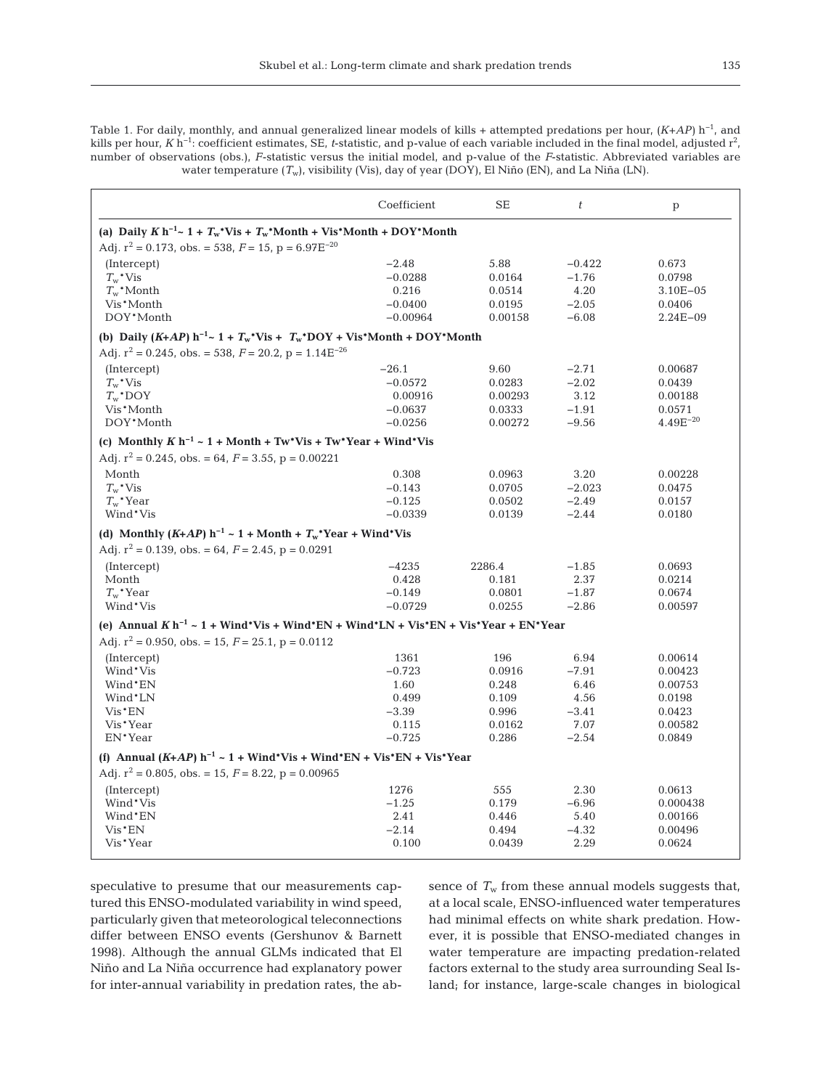Table 1. For daily, monthly, and annual generalized linear models of kills + attempted predations per hour, *(K*+*AP)* h−1, and kills per hour, *K* h<sup>−1</sup>: coefficient estimates, SE, *t*-statistic, and p-value of each variable included in the final model, adjusted r<sup>2</sup>, number of observations (obs.), *F*-statistic versus the initial model, and p-value of the *F*-statistic. Abbreviated variables are water temperature (*T*w), visibility (Vis), day of year (DOY), El Niño (EN), and La Niña (LN).

|                                                                                                 | Coefficient | <b>SE</b> | $\boldsymbol{t}$ | p             |
|-------------------------------------------------------------------------------------------------|-------------|-----------|------------------|---------------|
| (a) Daily $K h^{-1} \sim 1 + T_w^* V$ is + $T_w^* M$ onth + Vis*Month + DOY*Month               |             |           |                  |               |
| Adj. $r^2 = 0.173$ , obs. = 538, $F = 15$ , $p = 6.97E^{-20}$                                   |             |           |                  |               |
| (Intercept)                                                                                     | $-2.48$     | 5.88      | $-0.422$         | 0.673         |
| $T_w$ <sup>*</sup> Vis                                                                          | $-0.0288$   | 0.0164    | $-1.76$          | 0.0798        |
| $T_w^*$ Month                                                                                   | 0.216       | 0.0514    | 4.20             | $3.10E - 05$  |
| Vis*Month                                                                                       | $-0.0400$   | 0.0195    | $-2.05$          | 0.0406        |
| DOY*Month                                                                                       | $-0.00964$  | 0.00158   | $-6.08$          | $2.24E - 09$  |
| (b) Daily (K+AP) $h^{-1}$ ~ 1 + $T_w$ *Vis + $T_w$ *DOY + Vis*Month + DOY*Month                 |             |           |                  |               |
| Adj. $r^2 = 0.245$ , obs. = 538, $F = 20.2$ , $p = 1.14E^{-26}$                                 |             |           |                  |               |
| (Intercept)                                                                                     | $-26.1$     | 9.60      | $-2.71$          | 0.00687       |
| $T_w^*$ Vis                                                                                     | $-0.0572$   | 0.0283    | $-2.02$          | 0.0439        |
| $T_w^*$ DOY                                                                                     | 0.00916     | 0.00293   | 3.12             | 0.00188       |
| Vis*Month                                                                                       | $-0.0637$   | 0.0333    | $-1.91$          | 0.0571        |
| DOY*Month                                                                                       | $-0.0256$   | 0.00272   | $-9.56$          | $4.49E^{-20}$ |
| (c) Monthly $K h^{-1} \sim 1 + \text{Month} + \text{Tw*Vis} + \text{Tw*Year} + \text{Wind*Vis}$ |             |           |                  |               |
| Adj. $r^2 = 0.245$ , obs. = 64, $F = 3.55$ , p = 0.00221                                        |             |           |                  |               |
| Month                                                                                           | 0.308       | 0.0963    | 3.20             | 0.00228       |
| $T_w^*$ Vis                                                                                     | $-0.143$    | 0.0705    | $-2.023$         | 0.0475        |
| $T_w$ <sup>*</sup> Year                                                                         | $-0.125$    | 0.0502    | $-2.49$          | 0.0157        |
| Wind*Vis                                                                                        | $-0.0339$   | 0.0139    | $-2.44$          | 0.0180        |
| (d) Monthly $(K+AP)$ h <sup>-1</sup> ~ 1 + Month + $T_w$ *Year + Wind*Vis                       |             |           |                  |               |
| Adj. $r^2 = 0.139$ , obs. = 64, $F = 2.45$ , $p = 0.0291$                                       |             |           |                  |               |
| (Intercept)                                                                                     | $-4235$     | 2286.4    | $-1.85$          | 0.0693        |
| Month                                                                                           | 0.428       | 0.181     | 2.37             | 0.0214        |
| $T_w$ <sup>*</sup> Year                                                                         | $-0.149$    | 0.0801    | $-1.87$          | 0.0674        |
| Wind*Vis                                                                                        | $-0.0729$   | 0.0255    | $-2.86$          | 0.00597       |
| (e) Annual $K h^{-1} \sim 1 + Wind*Vis + Wind*EN + Wind*LN + Vis*EN + Vis*Year + EN*Year$       |             |           |                  |               |
| Adj. $r^2 = 0.950$ , obs. = 15, $F = 25.1$ , $p = 0.0112$                                       |             |           |                  |               |
| (Intercept)                                                                                     | 1361        | 196       | 6.94             | 0.00614       |
| Wind*Vis                                                                                        | $-0.723$    | 0.0916    | $-7.91$          | 0.00423       |
| Wind*EN                                                                                         | 1.60        | 0.248     | 6.46             | 0.00753       |
| Wind*LN                                                                                         | 0.499       | 0.109     | 4.56             | 0.0198        |
| $Vis*EN$                                                                                        | $-3.39$     | 0.996     | $-3.41$          | 0.0423        |
| Vis*Year                                                                                        | 0.115       | 0.0162    | 7.07             | 0.00582       |
| EN <sup>*</sup> Year                                                                            | $-0.725$    | 0.286     | $-2.54$          | 0.0849        |
| (f) Annual $(K+AP)$ h <sup>-1</sup> ~ 1 + Wind*Vis + Wind*EN + Vis*EN + Vis*Year                |             |           |                  |               |
| Adj. $r^2 = 0.805$ , obs. = 15, $F = 8.22$ , $p = 0.00965$                                      |             |           |                  |               |
| (Intercept)                                                                                     | 1276        | 555       | 2.30             | 0.0613        |
| Wind*Vis                                                                                        | $-1.25$     | 0.179     | $-6.96$          | 0.000438      |
| Wind*EN                                                                                         | 2.41        | 0.446     | 5.40             | 0.00166       |
| $Vis*EN$                                                                                        | $-2.14$     | 0.494     | $-4.32$          | 0.00496       |
| Vis*Year                                                                                        | 0.100       | 0.0439    | 2.29             | 0.0624        |
|                                                                                                 |             |           |                  |               |

speculative to presume that our measurements captured this ENSO-modulated variability in wind speed, particularly given that meteorological teleconnections differ between ENSO events (Gershunov & Barnett 1998). Although the annual GLMs indicated that El Niño and La Niña occurrence had explanatory power for inter-annual variability in predation rates, the absence of  $T_w$  from these annual models suggests that, at a local scale, ENSO-influenced water temperatures had minimal effects on white shark predation. However, it is possible that ENSO-mediated changes in water temperature are impacting predation-related factors external to the study area surrounding Seal Island; for instance, large-scale changes in biological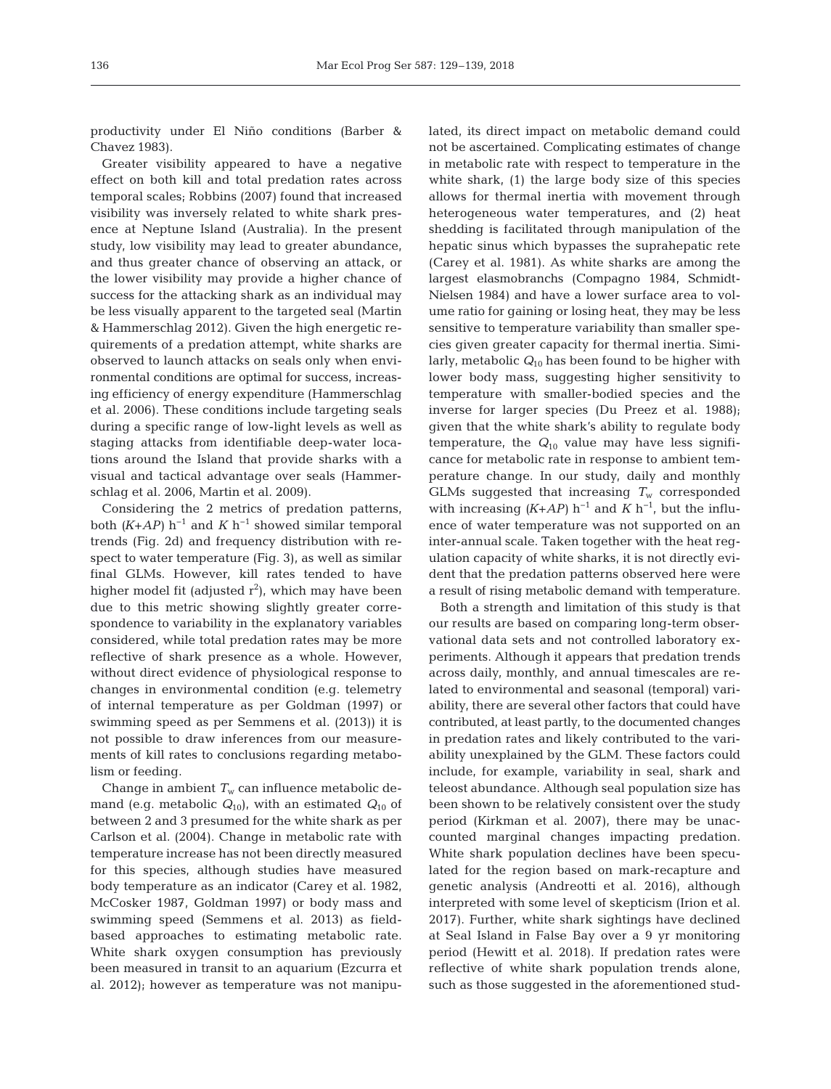productivity under El Niño conditions (Barber & Chavez 1983).

Greater visibility appeared to have a negative effect on both kill and total predation rates across temporal scales; Robbins (2007) found that increased visibility was inversely related to white shark presence at Neptune Island (Australia). In the present study, low visibility may lead to greater abundance, and thus greater chance of observing an attack, or the lower visibility may provide a higher chance of success for the attacking shark as an individual may be less visually apparent to the targeted seal (Martin & Hammerschlag 2012). Given the high energetic re quirements of a predation attempt, white sharks are observed to launch attacks on seals only when environmental conditions are optimal for success, increasing efficiency of energy expenditure (Hammerschlag et al. 2006). These conditions include targeting seals during a specific range of low-light levels as well as staging attacks from identifiable deep-water locations around the Island that provide sharks with a visual and tactical advantage over seals (Hammerschlag et al. 2006, Martin et al. 2009).

Considering the 2 metrics of predation patterns, both  $(K+AP)$  h<sup>-1</sup> and  $K$  h<sup>-1</sup> showed similar temporal trends (Fig. 2d) and frequency distribution with re spect to water temperature (Fig. 3), as well as similar final GLMs. However, kill rates tended to have higher model fit (adjusted  $r^2$ ), which may have been due to this metric showing slightly greater correspondence to variability in the explanatory variables considered, while total predation rates may be more reflective of shark presence as a whole. However, without direct evidence of physiological response to changes in environmental condition (e.g. telemetry of internal temperature as per Goldman (1997) or swimming speed as per Semmens et al. (2013)) it is not possible to draw inferences from our measurements of kill rates to conclusions regarding metabolism or feeding.

Change in ambient  $T_{\rm w}$  can influence metabolic demand (e.g. metabolic *Q*10), with an estimated *Q*<sup>10</sup> of between 2 and 3 presumed for the white shark as per Carlson et al. (2004). Change in metabolic rate with temperature increase has not been directly measured for this species, although studies have measured body temperature as an indicator (Carey et al. 1982, McCosker 1987, Goldman 1997) or body mass and swimming speed (Semmens et al. 2013) as fieldbased approaches to estimating metabolic rate. White shark oxygen consumption has previously been measured in transit to an aquarium (Ezcurra et al. 2012); however as temperature was not manipulated, its direct impact on metabolic demand could not be ascertained. Complicating estimates of change in metabolic rate with respect to temperature in the white shark, (1) the large body size of this species allows for thermal inertia with movement through heterogeneous water temperatures, and (2) heat shedding is facilitated through manipulation of the hepatic sinus which bypasses the suprahepatic rete (Carey et al. 1981). As white sharks are among the largest elasmobranchs (Compagno 1984, Schmidt-Nielsen 1984) and have a lower surface area to volume ratio for gaining or losing heat, they may be less sensitive to temperature variability than smaller species given greater capa city for thermal inertia. Similarly, metabolic  $Q_{10}$  has been found to be higher with lower body mass, suggesting higher sensitivity to temperature with smaller-bodied species and the inverse for larger species (Du Preez et al. 1988); given that the white shark's ability to regulate body temperature, the *Q*<sup>10</sup> value may have less significance for metabolic rate in response to ambient temperature change. In our study, daily and monthly GLMs suggested that increasing  $T_w$  corresponded with increasing  $(K+AP)$  h<sup>-1</sup> and  $K$  h<sup>-1</sup>, but the influence of water temperature was not supported on an inter-annual scale. Taken together with the heat regulation capacity of white sharks, it is not directly evident that the predation patterns observed here were a result of rising metabolic demand with temperature.

Both a strength and limitation of this study is that our results are based on comparing long-term observational data sets and not controlled laboratory experiments. Although it appears that predation trends across daily, monthly, and annual timescales are related to environmental and seasonal (temporal) variability, there are several other factors that could have contributed, at least partly, to the documented changes in predation rates and likely contributed to the variability unexplained by the GLM. These factors could include, for example, variability in seal, shark and teleost abundance. Although seal population size has been shown to be relatively consistent over the study period (Kirkman et al. 2007), there may be unaccounted marginal changes impacting predation. White shark population declines have been speculated for the region based on mark-recapture and genetic analysis (Andreotti et al. 2016), although interpreted with some level of skepticism (Irion et al. 2017). Further, white shark sightings have declined at Seal Island in False Bay over a 9 yr monitoring period (Hewitt et al. 2018). If predation rates were reflective of white shark population trends alone, such as those suggested in the aforementioned stud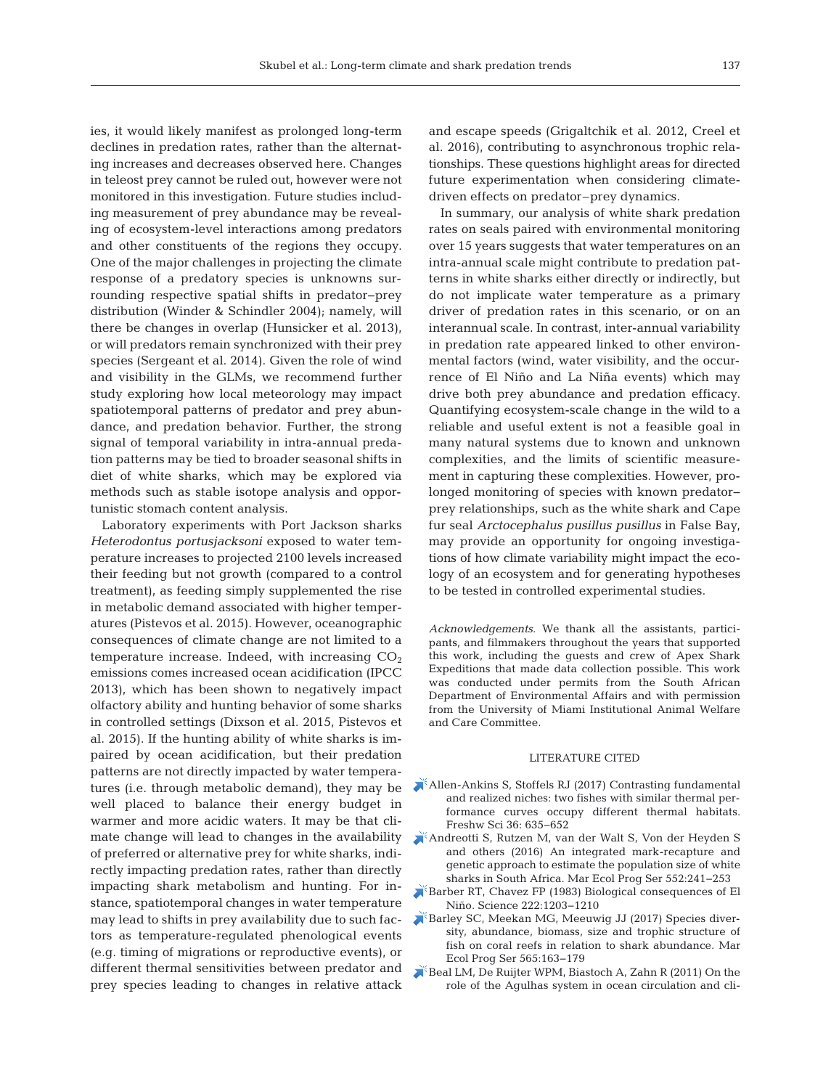ies, it would likely manifest as prolonged long-term declines in predation rates, rather than the alternating increases and decreases observed here. Changes in teleost prey cannot be ruled out, however were not monitored in this investigation. Future studies including measurement of prey abundance may be revealing of ecosystem-level interactions among predators and other constituents of the regions they occupy. One of the major challenges in projecting the climate response of a predatory species is unknowns surrounding respective spatial shifts in predator− prey distribution (Winder & Schindler 2004); namely, will there be changes in overlap (Hunsicker et al. 2013), or will predators remain synchronized with their prey species (Sergeant et al. 2014). Given the role of wind and visibility in the GLMs, we recommend further study exploring how local meteorology may impact spatiotemporal patterns of predator and prey abundance, and predation behavior. Further, the strong signal of temporal variability in intra-annual predation patterns may be tied to broader seasonal shifts in diet of white sharks, which may be explored via methods such as stable isotope analysis and opportunistic stomach content analysis.

Laboratory experiments with Port Jackson sharks *Heterodontus portusjacksoni* exposed to water temperature increases to projected 2100 levels increased their feeding but not growth (compared to a control treatment), as feeding simply supplemented the rise in metabolic demand associated with higher temperatures (Pistevos et al. 2015). However, oceanographic consequences of climate change are not limited to a temperature increase. Indeed, with increasing  $CO<sub>2</sub>$ emissions comes increased ocean acidification (IPCC 2013), which has been shown to negatively impact olfactory ability and hunting behavior of some sharks in controlled settings (Dixson et al. 2015, Pistevos et al. 2015). If the hunting ability of white sharks is im paired by ocean acidification, but their predation patterns are not directly impacted by water temperatures (i.e. through metabolic demand), they may be well placed to balance their energy budget in warmer and more acidic waters. It may be that climate change will lead to changes in the availability of preferred or alternative prey for white sharks, indirectly impacting predation rates, rather than directly impacting shark metabolism and hunting. For instance, spatiotemporal changes in water temperature may lead to shifts in prey availability due to such factors as temperature-regulated phenological events (e.g. timing of migrations or reproductive events), or different thermal sensitivities between predator and prey species leading to changes in relative attack

and escape speeds (Grigaltchik et al. 2012, Creel et al. 2016), contributing to asynchronous trophic relationships. These questions highlight areas for directed future experimentation when considering climatedriven effects on predator–prey dynamics.

In summary, our analysis of white shark predation rates on seals paired with environmental monitoring over 15 years suggests that water temperatures on an intra-annual scale might contribute to predation patterns in white sharks either directly or indirectly, but do not implicate water temperature as a primary driver of predation rates in this scenario, or on an interannual scale. In contrast, inter-annual variability in predation rate appeared linked to other environmental factors (wind, water visibility, and the occurrence of El Niño and La Niña events) which may drive both prey abundance and predation efficacy. Quantifying ecosystem-scale change in the wild to a reliable and useful extent is not a feasible goal in many natural systems due to known and unknown complexities, and the limits of scientific measurement in capturing these complexities. However, prolonged monitoring of species with known predator− prey relationships, such as the white shark and Cape fur seal *Arctocephalus pusillus pusillus* in False Bay, may provide an opportunity for ongoing investigations of how climate variability might impact the ecology of an ecosystem and for generating hypotheses to be tested in controlled experimental studies.

*Acknowledgements*. We thank all the assistants, participants, and filmmakers throughout the years that supported this work, including the guests and crew of Apex Shark Expeditions that made data collection possible. This work was conducted under permits from the South African Department of Environmental Affairs and with permission from the University of Miami Institutional Animal Welfare and Care Committee.

# LITERATURE CITED

- [Allen-Ankins S, Stoffels RJ \(2017\) Contrasting fundamental](https://doi.org/10.1086/693134) and realized niches: two fishes with similar thermal performance curves occupy different thermal habitats. Freshw Sci 36:635−652
- [Andreotti S, Rutzen M, van der Walt S, Von der Heyden S](https://doi.org/10.3354/meps11744) and others (2016) An integrated mark-recapture and genetic approach to estimate the population size of white sharks in South Africa. Mar Ecol Prog Ser 552: 241−253
- [Barber RT, Chavez FP \(1983\) Biological consequences of El](https://doi.org/10.1126/science.222.4629.1203) Niño. Science 222: 1203−1210
- [Barley SC, Meekan MG, Meeuwig JJ \(2017\) Species diver](https://doi.org/10.3354/meps11981)sity, abundance, biomass, size and trophic structure of fish on coral reefs in relation to shark abundance. Mar Ecol Prog Ser 565: 163−179
- [Beal LM, De Ruijter WPM, Biastoch A, Zahn R \(2011\) On the](https://doi.org/10.1038/nature09983) role of the Agulhas system in ocean circulation and cli-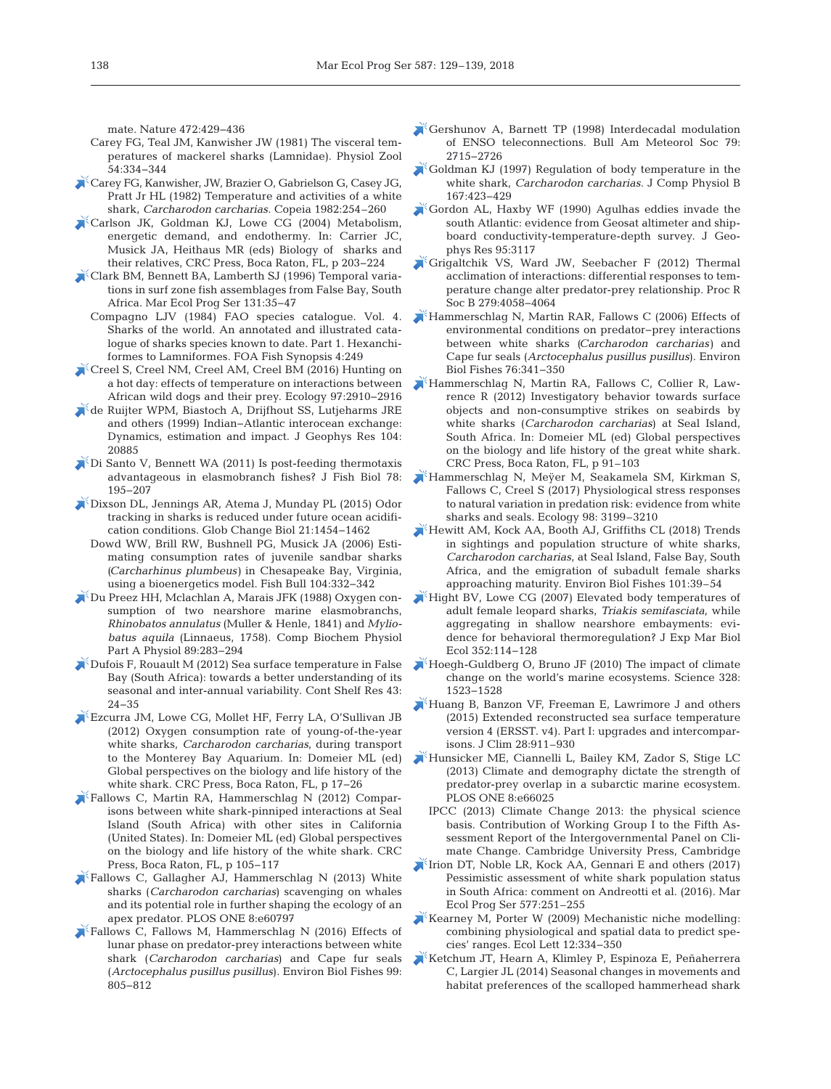mate. Nature 472:429-436

- Carey FG, Teal JM, Kanwisher JW (1981) The visceral temperatures of mackerel sharks (Lamnidae). Physiol Zool 54: 334−344
- [Carey FG, Kanwisher, JW, Brazier O, Gabrielson G, Casey JG,](https://doi.org/10.2307/1444603) Pratt Jr HL (1982) Temperature and activities of a white shark, *Carcharodon carcharias*. Copeia 1982:254-260
- [Carlson JK, Goldman KJ, Lowe CG \(2004\) Metabolism,](https://doi.org/10.1201/9780203491317.ch7) energetic demand, and endothermy. In: Carrier JC, Musick JA, Heithaus MR (eds) Biology of sharks and their relatives, CRC Press, Boca Raton, FL, p 203−224
- [Clark BM, Bennett BA, Lamberth SJ \(1996\) Temporal varia](https://doi.org/10.3354/meps131035)tions in surf zone fish assemblages from False Bay, South Africa. Mar Ecol Prog Ser 131:35-47
	- Compagno LJV (1984) FAO species catalogue. Vol. 4. Sharks of the world. An annotated and illustrated catalogue of sharks species known to date. Part 1. Hexanchiformes to Lamniformes. FOA Fish Synopsis 4:249
- [Creel S, Creel NM, Creel AM, Creel BM \(2016\) Hunting on](https://doi.org/10.1002/ecy.1568) a hot day: effects of temperature on interactions between African wild dogs and their prey. Ecology 97:2910-2916
- [de Ruijter WPM, Biastoch A, Drijfhout SS, Lutjeharms JRE](https://doi.org/10.1029/1998JC900099) and others (1999) Indian−Atlantic interocean exchange: Dynamics, estimation and impact. J Geophys Res 104: 20885
- [Di Santo V, Bennett WA \(2011\) Is post-feeding thermotaxis](https://doi.org/10.1111/j.1095-8649.2010.02853.x) advantageous in elasmobranch fishes? J Fish Biol 78: 195−207
- [Dixson DL, Jennings AR, Atema J, Munday PL \(2015\) Odor](https://doi.org/10.1111/gcb.12678) tracking in sharks is reduced under future ocean acidification conditions. Glob Change Biol 21: 1454−1462
	- Dowd WW, Brill RW, Bushnell PG, Musick JA (2006) Estimating consumption rates of juvenile sandbar sharks *(Carcharhinus plumbeus)* in Chesapeake Bay, Virginia, using a bioenergetics model. Fish Bull 104:332-342
- [Du Preez HH, Mclachlan A, Marais JFK \(1988\) Oxygen con](https://doi.org/10.1016/0300-9629(88)91094-8)sumption of two nearshore marine elasmobranchs, *Rhino batos annulatus* (Muller & Henle, 1841) and *Myliobatus aquila* (Linnaeus, 1758). Comp Biochem Physiol Part A Physiol 89:283-294
- [Dufois F, Rouault M \(2012\) Sea surface temperature in False](https://doi.org/10.1016/j.csr.2012.04.009) Bay (South Africa): towards a better understanding of its seasonal and inter-annual variability. Cont Shelf Res 43: 24−35
- [Ezcurra JM, Lowe CG, Mollet HF, Ferry LA, O'Sullivan JB](https://doi.org/10.1201/b11532-4) (2012) Oxygen consumption rate of young-of-the-year white sharks, *Carcharodon carcharias*, during transport to the Monterey Bay Aquarium. In: Domeier ML (ed) Global perspectives on the biology and life history of the white shark. CRC Press, Boca Raton, FL, p 17−26
- [Fallows C, Martin RA, Hammerschlag N \(2012\) Compar](https://doi.org/10.1201/b11532-4)isons between white shark-pinniped interactions at Seal Island (South Africa) with other sites in California (United States). In:Domeier ML (ed) Global perspectives on the biology and life history of the white shark. CRC Press, Boca Raton, FL, p 105−117
- [Fallows C, Gallagher AJ, Hammerschlag N \(2013\) White](https://doi.org/10.1371/journal.pone.0060797) sharks (*Carcharodon carcharias*) scavenging on whales and its potential role in further shaping the ecology of an apex predator. PLOS ONE 8:e60797
- [Fallows C, Fallows M, Hammerschlag N \(2016\) Effects of](https://doi.org/10.1007/s10641-016-0515-8) lunar phase on predator-prey interactions between white shark (*Carcharodon carcharias*) and Cape fur seals (*Arcto cephalus pusillus pusillus*). Environ Biol Fishes 99: 805−812
- [Gershunov A, Barnett TP \(1998\) Interdecadal modulation](https://doi.org/10.1175/1520-0477(1998)079%3C2715%3AIMOET%3E2.0.CO%3B2) of ENSO teleconnections. Bull Am Meteorol Soc 79: 2715−2726
- [Goldman KJ \(1997\) Regulation of body temperature in the](https://doi.org/10.1007/s003600050092) white shark, *Carcharodon carcharias*. J Comp Physiol B 167: 423−429
- [Gordon AL, Haxby WF \(1990\) Agulhas eddies invade the](https://doi.org/10.1029/JC095iC03p03117) south Atlantic: evidence from Geosat altimeter and shipboard conductivity-temperature-depth survey. J Geophys Res 95:3117
- [Grigaltchik VS, Ward JW, Seebacher F \(2012\) Thermal](https://doi.org/10.1098/rspb.2012.1277) acclimation of interactions: differential responses to temperature change alter predator-prey relationship. Proc R Soc B 279:4058-4064
- [Hammerschlag N, Martin RAR, Fallows C \(2006\) Effects of](https://doi.org/10.1007/s10641-006-9038-z) environmental conditions on predator−prey interactions between white sharks *(Carcharodon carcharias)* and Cape fur seals (*Arctocephalus pusillus pusillus*). Environ Biol Fishes 76: 341−350
- [Hammerschlag N, Martin RA, Fallows C, Collier R, Law](https://doi.org/10.1201/b11532-4)  rence R (2012) Investigatory behavior towards surface objects and non-consumptive strikes on seabirds by white sharks (*Carcharodon carcharias*) at Seal Island, South Africa. In: Domeier ML (ed) Global perspectives on the biology and life history of the great white shark. CRC Press, Boca Raton, FL, p 91–103
- [Hammerschlag N, Meÿer M, Seakamela SM, Kirkman S,](https://doi.org/10.1002/ecy.2049) Fallows C, Creel S (2017) Physiological stress responses to natural variation in predation risk: evidence from white sharks and seals. Ecology 98: 3199–3210
- [Hewitt AM, Kock AA, Booth AJ, Griffiths CL \(2018\) Trends](https://doi.org/10.1007/s10641-017-0679-x) in sightings and population structure of white sharks, *Carcharodon carcharias*, at Seal Island, False Bay, South Africa, and the emigration of subadult female sharks approaching maturity. Environ Biol Fishes 101:39–54
- [Hight BV, Lowe CG \(2007\) Elevated body temperatures of](https://doi.org/10.1016/j.jembe.2007.07.021) adult female leopard sharks, *Triakis semifasciata*, while aggregating in shallow nearshore embayments: evidence for behavioral thermoregulation? J Exp Mar Biol Ecol 352: 114−128
- [Hoegh-Guldberg O, Bruno JF \(2010\) The impact of climate](https://doi.org/10.1126/science.1189930) change on the world's marine ecosystems. Science 328: 1523−1528
- [Huang B, Banzon VF, Freeman E, Lawrimore J and others](https://doi.org/10.1175/JCLI-D-14-00006.1) (2015) Extended reconstructed sea surface temperature version 4 (ERSST. v4). Part I: upgrades and intercomparisons. J Clim 28:911–930
- [Hunsicker ME, Ciannelli L, Bailey KM, Zador S, Stige LC](https://doi.org/10.1371/journal.pone.0066025) (2013) Climate and demography dictate the strength of predator-prey overlap in a subarctic marine ecosystem. PLOS ONE 8:e66025
	- IPCC  $(2013)$  Climate Change 2013: the physical science basis. Contribution of Working Group I to the Fifth Assessment Report of the Intergovernmental Panel on Climate Change. Cambridge University Press, Cambridge
- [Irion DT, Noble LR, Kock AA, Gennari E and others \(2017\)](https://doi.org/10.3354/meps12283) Pessimistic assessment of white shark population status in South Africa: comment on Andreotti et al. (2016). Mar Ecol Prog Ser 577:251–255
- $K$ Kearney M, Porter W (2009) Mechanistic niche modelling: combining physiological and spatial data to predict species' ranges. Ecol Lett 12: 334−350
- [Ketchum JT, Hearn A, Klimley P, Espinoza E, Peñaherrera](https://doi.org/10.1007/s00227-013-2375-5) C, Largier JL (2014) Seasonal changes in movements and habitat preferences of the scalloped hammerhead shark